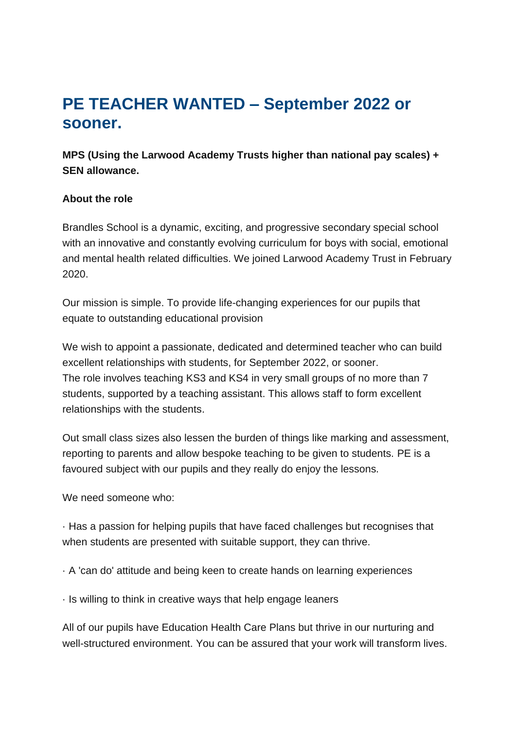## **PE TEACHER WANTED – September 2022 or sooner.**

**MPS (Using the Larwood Academy Trusts higher than national pay scales) + SEN allowance.**

## **About the role**

Brandles School is a dynamic, exciting, and progressive secondary special school with an innovative and constantly evolving curriculum for boys with social, emotional and mental health related difficulties. We joined Larwood Academy Trust in February 2020.

Our mission is simple. To provide life-changing experiences for our pupils that equate to outstanding educational provision

We wish to appoint a passionate, dedicated and determined teacher who can build excellent relationships with students, for September 2022, or sooner. The role involves teaching KS3 and KS4 in very small groups of no more than 7 students, supported by a teaching assistant. This allows staff to form excellent relationships with the students.

Out small class sizes also lessen the burden of things like marking and assessment, reporting to parents and allow bespoke teaching to be given to students. PE is a favoured subject with our pupils and they really do enjoy the lessons.

We need someone who:

· Has a passion for helping pupils that have faced challenges but recognises that when students are presented with suitable support, they can thrive.

· A 'can do' attitude and being keen to create hands on learning experiences

· Is willing to think in creative ways that help engage leaners

All of our pupils have Education Health Care Plans but thrive in our nurturing and well-structured environment. You can be assured that your work will transform lives.